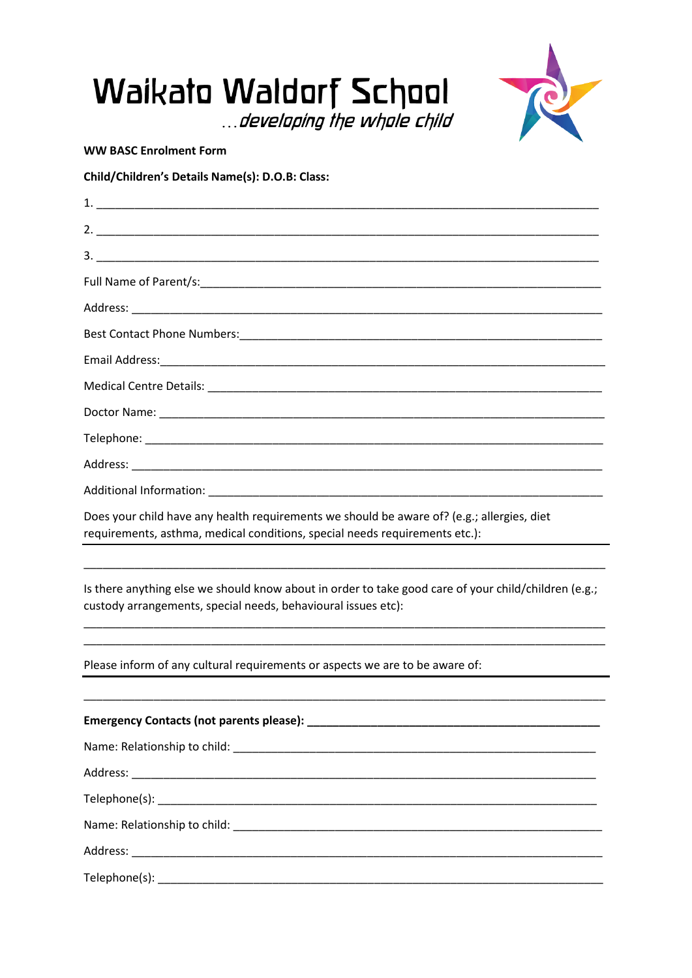

**WW BASC Enrolment Form** 

Child/Children's Details Name(s): D.O.B: Class:

| Does your child have any health requirements we should be aware of? (e.g.; allergies, diet<br>requirements, asthma, medical conditions, special needs requirements etc.): |
|---------------------------------------------------------------------------------------------------------------------------------------------------------------------------|
|                                                                                                                                                                           |
| Is there anything else we should know about in order to take good care of your child/children (e.g.;<br>custody arrangements, special needs, behavioural issues etc):     |
| Please inform of any cultural requirements or aspects we are to be aware of:                                                                                              |
|                                                                                                                                                                           |
|                                                                                                                                                                           |
|                                                                                                                                                                           |
|                                                                                                                                                                           |
|                                                                                                                                                                           |
|                                                                                                                                                                           |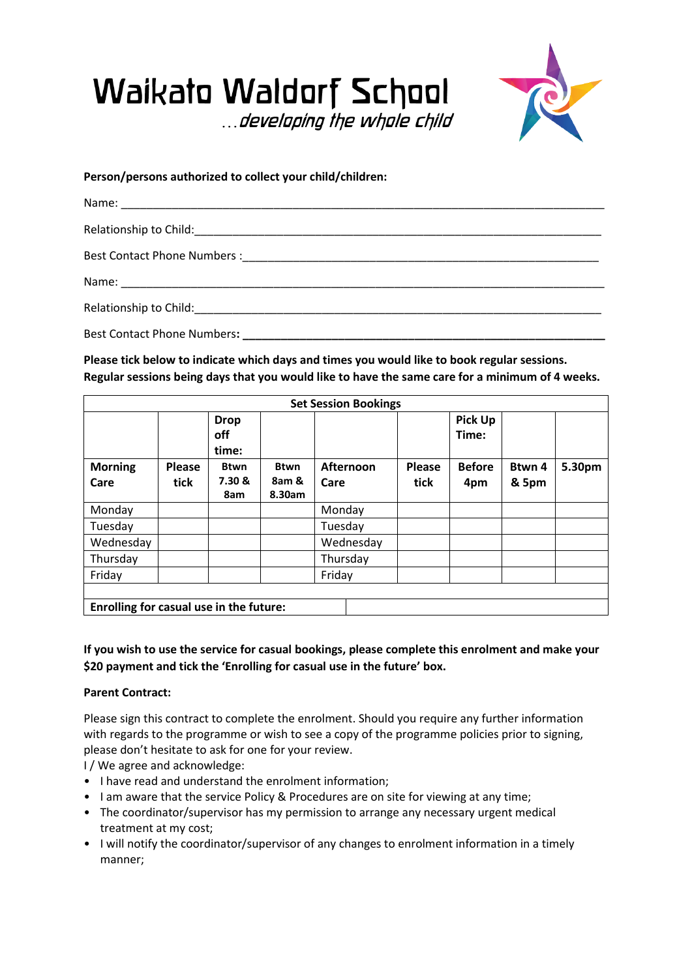



**Person/persons authorized to collect your child/children:**

**Please tick below to indicate which days and times you would like to book regular sessions. Regular sessions being days that you would like to have the same care for a minimum of 4 weeks.**

| <b>Set Session Bookings</b>             |        |                             |                 |           |               |                         |        |        |  |  |
|-----------------------------------------|--------|-----------------------------|-----------------|-----------|---------------|-------------------------|--------|--------|--|--|
|                                         |        | <b>Drop</b><br>off<br>time: |                 |           |               | <b>Pick Up</b><br>Time: |        |        |  |  |
| <b>Morning</b>                          | Please | <b>Btwn</b>                 | <b>Btwn</b>     | Afternoon | <b>Please</b> | <b>Before</b>           | Btwn 4 | 5.30pm |  |  |
| Care                                    | tick   | 7.30 &<br>8am               | 8am &<br>8.30am | Care      | tick          | 4pm                     | & 5pm  |        |  |  |
| Monday                                  |        |                             |                 | Monday    |               |                         |        |        |  |  |
| Tuesday                                 |        |                             |                 | Tuesday   |               |                         |        |        |  |  |
| Wednesday                               |        |                             |                 | Wednesday |               |                         |        |        |  |  |
| Thursday                                |        |                             |                 | Thursday  |               |                         |        |        |  |  |
| Friday                                  |        |                             |                 | Friday    |               |                         |        |        |  |  |
|                                         |        |                             |                 |           |               |                         |        |        |  |  |
| Enrolling for casual use in the future: |        |                             |                 |           |               |                         |        |        |  |  |

**If you wish to use the service for casual bookings, please complete this enrolment and make your \$20 payment and tick the 'Enrolling for casual use in the future' box.**

## **Parent Contract:**

Please sign this contract to complete the enrolment. Should you require any further information with regards to the programme or wish to see a copy of the programme policies prior to signing, please don't hesitate to ask for one for your review.

I / We agree and acknowledge:

- I have read and understand the enrolment information;
- I am aware that the service Policy & Procedures are on site for viewing at any time;
- The coordinator/supervisor has my permission to arrange any necessary urgent medical treatment at my cost;
- I will notify the coordinator/supervisor of any changes to enrolment information in a timely manner;